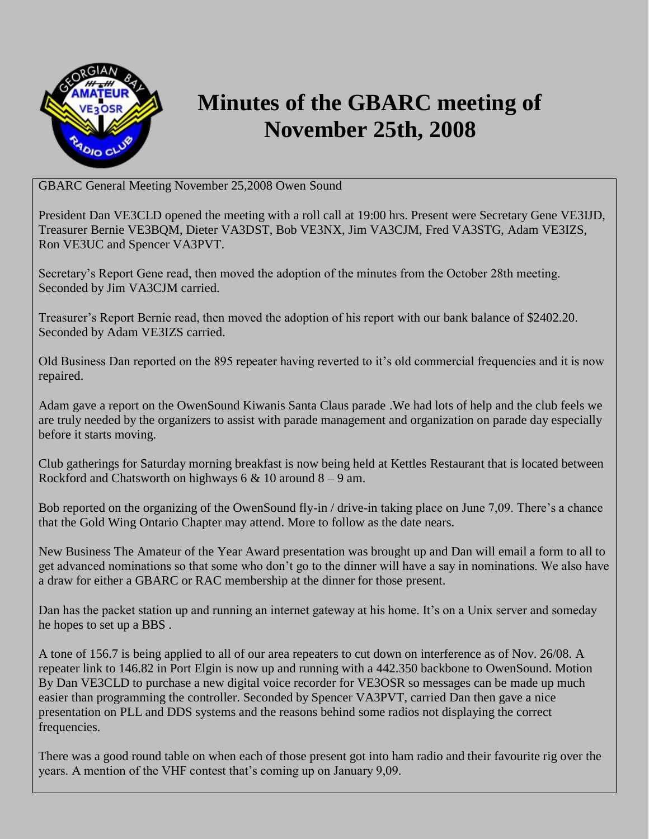

## **Minutes of the GBARC meeting of November 25th, 2008**

GBARC General Meeting November 25,2008 Owen Sound

President Dan VE3CLD opened the meeting with a roll call at 19:00 hrs. Present were Secretary Gene VE3IJD, Treasurer Bernie VE3BQM, Dieter VA3DST, Bob VE3NX, Jim VA3CJM, Fred VA3STG, Adam VE3IZS, Ron VE3UC and Spencer VA3PVT.

Secretary's Report Gene read, then moved the adoption of the minutes from the October 28th meeting. Seconded by Jim VA3CJM carried.

Treasurer's Report Bernie read, then moved the adoption of his report with our bank balance of \$2402.20. Seconded by Adam VE3IZS carried.

Old Business Dan reported on the 895 repeater having reverted to it's old commercial frequencies and it is now repaired.

Adam gave a report on the OwenSound Kiwanis Santa Claus parade .We had lots of help and the club feels we are truly needed by the organizers to assist with parade management and organization on parade day especially before it starts moving.

Club gatherings for Saturday morning breakfast is now being held at Kettles Restaurant that is located between Rockford and Chatsworth on highways  $6 \& 10$  around  $8 - 9$  am.

Bob reported on the organizing of the OwenSound fly-in / drive-in taking place on June 7,09. There's a chance that the Gold Wing Ontario Chapter may attend. More to follow as the date nears.

New Business The Amateur of the Year Award presentation was brought up and Dan will email a form to all to get advanced nominations so that some who don't go to the dinner will have a say in nominations. We also have a draw for either a GBARC or RAC membership at the dinner for those present.

Dan has the packet station up and running an internet gateway at his home. It's on a Unix server and someday he hopes to set up a BBS .

A tone of 156.7 is being applied to all of our area repeaters to cut down on interference as of Nov. 26/08. A repeater link to 146.82 in Port Elgin is now up and running with a 442.350 backbone to OwenSound. Motion By Dan VE3CLD to purchase a new digital voice recorder for VE3OSR so messages can be made up much easier than programming the controller. Seconded by Spencer VA3PVT, carried Dan then gave a nice presentation on PLL and DDS systems and the reasons behind some radios not displaying the correct frequencies.

There was a good round table on when each of those present got into ham radio and their favourite rig over the years. A mention of the VHF contest that's coming up on January 9,09.